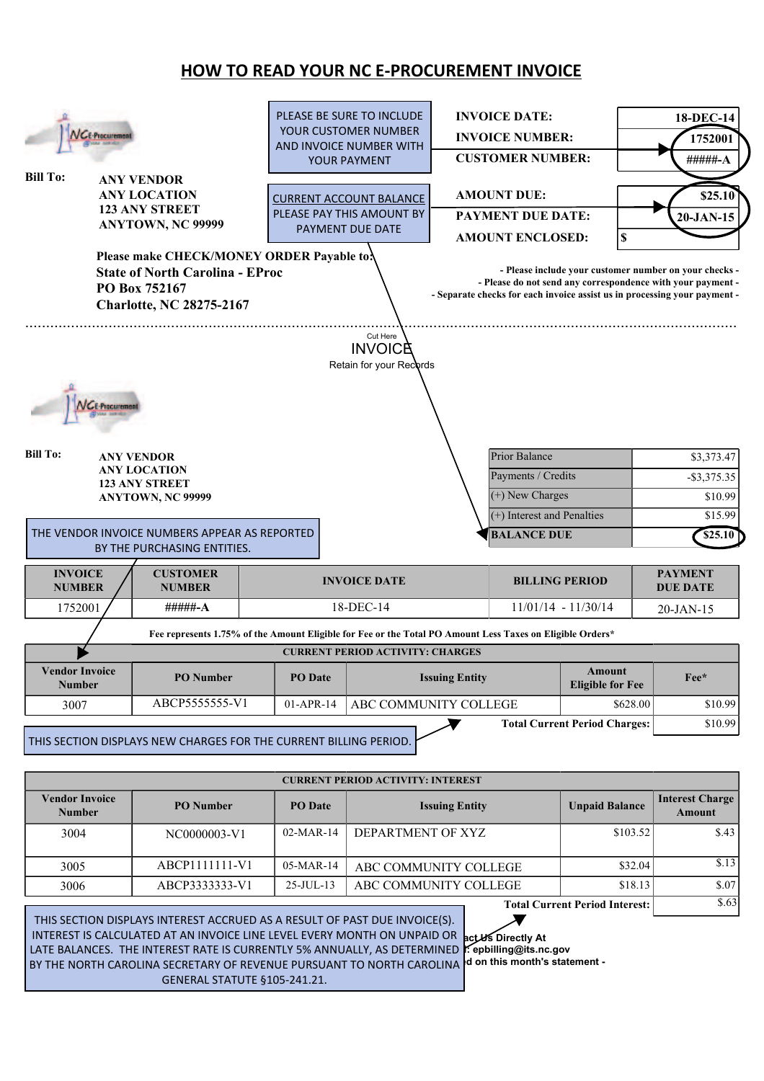## **HOW TO READ YOUR NC E-PROCUREMENT INVOICE**

|                       |                       |                                                                                                           |                      | PLEASE BE SURE TO INCLUDE                |                        | <b>INVOICE DATE:</b>       |                                      |          | 18-DEC-14                                                                                                                                |
|-----------------------|-----------------------|-----------------------------------------------------------------------------------------------------------|----------------------|------------------------------------------|------------------------|----------------------------|--------------------------------------|----------|------------------------------------------------------------------------------------------------------------------------------------------|
| NGE-Procuremen        |                       |                                                                                                           | YOUR CUSTOMER NUMBER |                                          | <b>INVOICE NUMBER:</b> |                            |                                      | 1752001  |                                                                                                                                          |
|                       |                       |                                                                                                           |                      | AND INVOICE NUMBER WITH<br>YOUR PAYMENT  |                        | <b>CUSTOMER NUMBER:</b>    |                                      |          | #####-A                                                                                                                                  |
| <b>Bill To:</b>       |                       | <b>ANY VENDOR</b>                                                                                         |                      |                                          |                        |                            |                                      |          |                                                                                                                                          |
|                       |                       | <b>ANY LOCATION</b>                                                                                       |                      | <b>CURRENT ACCOUNT BALANCE</b>           |                        | <b>AMOUNT DUE:</b>         |                                      |          | \$25.10                                                                                                                                  |
|                       |                       | <b>123 ANY STREET</b>                                                                                     |                      | PLEASE PAY THIS AMOUNT BY                |                        | <b>PAYMENT DUE DATE:</b>   |                                      |          | $20$ -JAN-15                                                                                                                             |
|                       |                       | ANYTOWN, NC 99999                                                                                         |                      | PAYMENT DUE DATE                         |                        | <b>AMOUNT ENCLOSED:</b>    | $\pmb{\mathbb{S}}$                   |          |                                                                                                                                          |
|                       |                       | Please make CHECK/MONEY ORDER Payable to:                                                                 |                      |                                          |                        |                            |                                      |          |                                                                                                                                          |
|                       |                       | <b>State of North Carolina - EProc</b>                                                                    |                      |                                          |                        |                            |                                      |          | - Please include your customer number on your checks -                                                                                   |
|                       |                       | PO Box 752167                                                                                             |                      |                                          |                        |                            |                                      |          | - Please do not send any correspondence with your payment -<br>- Separate checks for each invoice assist us in processing your payment - |
|                       |                       | <b>Charlotte, NC 28275-2167</b>                                                                           |                      |                                          |                        |                            |                                      |          |                                                                                                                                          |
|                       |                       |                                                                                                           |                      |                                          |                        |                            |                                      |          |                                                                                                                                          |
|                       |                       |                                                                                                           |                      | Cut Here<br><b>INVOICE</b>               |                        |                            |                                      |          |                                                                                                                                          |
|                       |                       |                                                                                                           |                      | Retain for your Records                  |                        |                            |                                      |          |                                                                                                                                          |
|                       |                       |                                                                                                           |                      |                                          |                        |                            |                                      |          |                                                                                                                                          |
|                       |                       |                                                                                                           |                      |                                          |                        |                            |                                      |          |                                                                                                                                          |
|                       | <b>C.E.Procuremen</b> |                                                                                                           |                      |                                          |                        |                            |                                      |          |                                                                                                                                          |
|                       |                       |                                                                                                           |                      |                                          |                        |                            |                                      |          |                                                                                                                                          |
| <b>Bill To:</b>       |                       | <b>ANY VENDOR</b>                                                                                         |                      |                                          |                        | Prior Balance              |                                      |          | \$3,373.47                                                                                                                               |
|                       |                       | <b>ANY LOCATION</b>                                                                                       |                      |                                          |                        | Payments / Credits         |                                      |          | $-$ \$3,375.35                                                                                                                           |
|                       |                       | <b>123 ANY STREET</b><br>ANYTOWN, NC 99999                                                                |                      |                                          |                        | (+) New Charges            |                                      |          | \$10.99                                                                                                                                  |
|                       |                       |                                                                                                           |                      |                                          |                        | (+) Interest and Penalties |                                      |          | \$15.99                                                                                                                                  |
|                       |                       | THE VENDOR INVOICE NUMBERS APPEAR AS REPORTED                                                             |                      |                                          |                        | <b>BALANCE DUE</b>         |                                      |          | \$25.10                                                                                                                                  |
|                       |                       | BY THE PURCHASING ENTITIES.                                                                               |                      |                                          |                        |                            |                                      |          |                                                                                                                                          |
| <b>INVOICE</b>        |                       | <b>CUSTOMER</b>                                                                                           |                      |                                          |                        |                            |                                      |          | <b>PAYMENT</b>                                                                                                                           |
| <b>NUMBER</b>         |                       | <b>NUMBER</b>                                                                                             |                      | <b>INVOICE DATE</b>                      |                        | <b>BILLING PERIOD</b>      |                                      |          | <b>DUE DATE</b>                                                                                                                          |
| 1752001               |                       | #####-A                                                                                                   |                      | 18-DEC-14                                |                        | $11/01/14 - 11/30/14$      |                                      |          | 20-JAN-15                                                                                                                                |
|                       |                       | Fee represents 1.75% of the Amount Eligible for Fee or the Total PO Amount Less Taxes on Eligible Orders* |                      |                                          |                        |                            |                                      |          |                                                                                                                                          |
|                       |                       |                                                                                                           |                      | <b>CURRENT PERIOD ACTIVITY: CHARGES</b>  |                        |                            |                                      |          |                                                                                                                                          |
| <b>Vendor Invoice</b> |                       |                                                                                                           |                      |                                          |                        |                            | Amount                               |          |                                                                                                                                          |
| <b>Number</b>         |                       | <b>PO</b> Number                                                                                          | PO Date              |                                          | <b>Issuing Entity</b>  |                            | <b>Eligible for Fee</b>              |          | Fee*                                                                                                                                     |
| 3007                  |                       | ABCP5555555-V1                                                                                            | 01-APR-14            | ABC COMMUNITY COLLEGE                    |                        |                            |                                      | \$628.00 | \$10.99                                                                                                                                  |
|                       |                       |                                                                                                           |                      |                                          |                        |                            | <b>Total Current Period Charges:</b> |          | \$10.99                                                                                                                                  |
|                       |                       | THIS SECTION DISPLAYS NEW CHARGES FOR THE CURRENT BILLING PERIOD.                                         |                      |                                          |                        |                            |                                      |          |                                                                                                                                          |
|                       |                       |                                                                                                           |                      |                                          |                        |                            |                                      |          |                                                                                                                                          |
|                       |                       |                                                                                                           |                      | <b>CURRENT PERIOD ACTIVITY: INTEREST</b> |                        |                            |                                      |          |                                                                                                                                          |
| <b>Vendor Invoice</b> |                       |                                                                                                           |                      |                                          |                        |                            |                                      |          | <b>Interest Charge</b>                                                                                                                   |
| <b>Number</b>         |                       | <b>PO</b> Number                                                                                          | <b>PO</b> Date       |                                          | <b>Issuing Entity</b>  |                            | <b>Unpaid Balance</b>                |          | <b>Amount</b>                                                                                                                            |
| 3004                  |                       | NC0000003-V1                                                                                              | 02-MAR-14            | DEPARTMENT OF XYZ                        |                        |                            |                                      | \$103.52 | \$.43                                                                                                                                    |
|                       |                       |                                                                                                           |                      |                                          |                        |                            |                                      |          |                                                                                                                                          |
| 3005                  |                       | ABCP1111111-V1                                                                                            | 05-MAR-14            | ABC COMMUNITY COLLEGE                    |                        |                            |                                      | \$32.04  | \$.13                                                                                                                                    |
| 3006                  |                       | ABCP3333333-V1                                                                                            | 25-JUL-13            | ABC COMMUNITY COLLEGE                    |                        |                            |                                      | \$18.13  | \$.07                                                                                                                                    |

**For Contact Line Level Every MONTH ON UNPAID OR pctUs Directly At** RATE IS CURRENTLY 5% ANNUALLY, AS DETERMINED **I**f epbilling@its.nc.gov **- Credits and Payments made to this account may not be reflected on this month's statement -** BY THE NORTH CAROLINA SECRETARY OF REVENUE PURSUANT TO NORTH CAROLINA THIS SECTION DISPLAYS INTEREST ACCRUED AS A RESULT OF PAST DUE INVOICE(S). INTEREST IS CALCULATED AT AN INVOICE LINE LEVEL EVERY MONTH ON UNPAID OR LATE BALANCES. THE INTEREST RATE IS CURRENTLY 5% ANNUALLY, AS DETERMINED GENERAL STATUTE §105-241.21.

**Total Current Period Interest:** 

 $\overline{$}5.63$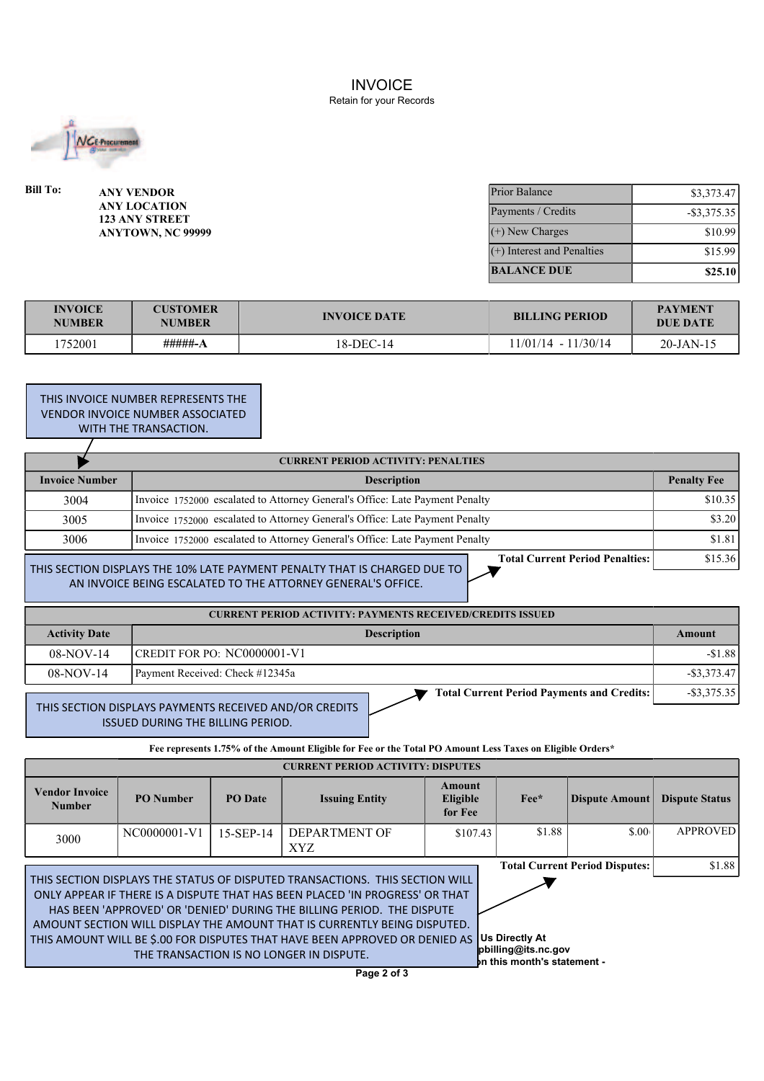INVOICE Retain for your Records



| Bill To: | <b>ANY VENDOR</b>                            | <b>Prior Balance</b>         | \$3,373.47     |
|----------|----------------------------------------------|------------------------------|----------------|
|          | <b>ANY LOCATION</b><br><b>123 ANY STREET</b> | Payments / Credits           | $-$ \$3,375.35 |
|          | ANYTOWN, NC 99999                            | $(+)$ New Charges            | \$10.99        |
|          |                                              | $(+)$ Interest and Penalties | \$15.99        |
|          |                                              | <b>BALANCE DUE</b>           | \$25.10        |

| <b>INVOICE</b><br><b>NUMBER</b> | <b>CUSTOMER</b><br><b>NUMBER</b> | <b>INVOICE DATE</b> | <b>BILLING PERIOD</b> |              |
|---------------------------------|----------------------------------|---------------------|-----------------------|--------------|
| 1752001                         | #####-A                          | 18-DEC-14           | 11/01/14 - 11/30/14   | $20$ -JAN-15 |

**THIS INVOICE NUMBER REPRESENTS THE** VENDOR INVOICE NUMBER ASSOCIATED WITH THE TRANSACTION.

|                       | <b>CURRENT PERIOD ACTIVITY: PENALTIES</b>                                                                                |         |  |
|-----------------------|--------------------------------------------------------------------------------------------------------------------------|---------|--|
| <b>Invoice Number</b> | <b>Description</b>                                                                                                       |         |  |
| 3004                  | Invoice 1752000 escalated to Attorney General's Office: Late Payment Penalty                                             | \$10.35 |  |
| 3005                  | Invoice 1752000 escalated to Attorney General's Office: Late Payment Penalty                                             |         |  |
| 3006                  | Invoice 1752000 escalated to Attorney General's Office: Late Payment Penalty                                             | \$1.81  |  |
|                       | <b>Total Current Period Penalties:</b><br>I THIS SECTION DISPI AVS THE 10% LATE PAYMENT PENALTY THAT IS CHARGED DUE TO I | \$15.36 |  |

THIS SECTION DISPLAYS THE 10% LATE PAYMENT PENALTY THAT IS CHARGED DUE TO AN INVOICE BEING ESCALATED TO THE ATTORNEY GENERAL'S OFFICE.

| <b>CURRENT PERIOD ACTIVITY: PAYMENTS RECEIVED/CREDITS ISSUED</b> |                                                   |                |  |  |  |
|------------------------------------------------------------------|---------------------------------------------------|----------------|--|--|--|
| <b>Activity Date</b>                                             | <b>Description</b>                                | Amount         |  |  |  |
| $08-NOV-14$                                                      | CREDIT FOR PO: $NCO000001-V1$                     | $-51.88$       |  |  |  |
| $08-NOV-14$                                                      | Payment Received: Check #12345a                   | $-$ \$3.373.47 |  |  |  |
|                                                                  | <b>Total Current Period Payments and Credits:</b> | $-$ \$3,375.35 |  |  |  |

 THIS SECTION DISPLAYS PAYMENTS RECEIVED AND/OR CREDITS ISSUED DURING THE BILLING PERIOD.

**Fee represents 1.75% of the Amount Eligible for Fee or the Total PO Amount Less Taxes on Eligible Orders\***

| <b>CURRENT PERIOD ACTIVITY: DISPUTES</b>                                                                                                                                                                                                                                                                                                                                                                                                                                                                                                                       |                  |                |                       |                               |               |                |                       |  |
|----------------------------------------------------------------------------------------------------------------------------------------------------------------------------------------------------------------------------------------------------------------------------------------------------------------------------------------------------------------------------------------------------------------------------------------------------------------------------------------------------------------------------------------------------------------|------------------|----------------|-----------------------|-------------------------------|---------------|----------------|-----------------------|--|
| <b>Vendor Invoice</b><br><b>Number</b>                                                                                                                                                                                                                                                                                                                                                                                                                                                                                                                         | <b>PO</b> Number | <b>PO</b> Date | <b>Issuing Entity</b> | Amount<br>Eligible<br>for Fee | $\text{Fe}^*$ | Dispute Amount | <b>Dispute Status</b> |  |
| 3000                                                                                                                                                                                                                                                                                                                                                                                                                                                                                                                                                           | NC0000001-V1     | $15-SEP-14$    | DEPARTMENT OF<br>XYZ. | \$107.43                      | \$1.88        | \$.00          | <b>APPROVED</b>       |  |
| <b>Total Current Period Disputes:</b><br>THIS SECTION DISPLAYS THE STATUS OF DISPUTED TRANSACTIONS. THIS SECTION WILL<br>ONLY APPEAR IF THERE IS A DISPUTE THAT HAS BEEN PLACED 'IN PROGRESS' OR THAT<br>HAS BEEN 'APPROVED' OR 'DENIED' DURING THE BILLING PERIOD. THE DISPUTE<br>AMOUNT SECTION WILL DISPLAY THE AMOUNT THAT IS CURRENTLY BEING DISPUTED.<br>Us Directly At<br>THIS AMOUNT WILL BE \$.00 FOR DISPUTES THAT HAVE BEEN APPROVED OR DENIED AS<br>pbilling@its.nc.gov<br>THE TRANSACTION IS NO LONGER IN DISPUTE.<br>In this month's statement - |                  |                |                       |                               |               |                |                       |  |